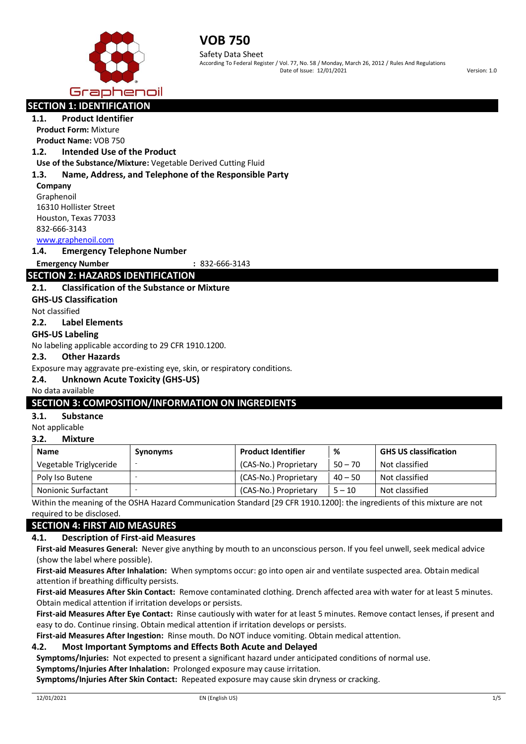

Safety Data Sheet According To Federal Register / Vol. 77, No. 58 / Monday, March 26, 2012 / Rules And Regulations Date of Issue: 12/01/2021 Version: 1.0

# **SECTION 1: IDENTIFICATION**

**1.1. Product Identifier Product Form:** Mixture **Product Name:** VOB 750

### **1.2. Intended Use of the Product**

**Use of the Substance/Mixture:** Vegetable Derived Cutting Fluid

### **1.3. Name, Address, and Telephone of the Responsible Party**

**Company** Graphenoil 16310 Hollister Street Houston, Texas 77033 832-666-3143

#### [www.graphenoil.com](http://www.graphenoil.com/)

**1.4. Emergency Telephone Number**

### **Emergency Number :** 832-666-3143

# **SECTION 2: HAZARDS IDENTIFICATION**

# **2.1. Classification of the Substance or Mixture**

**GHS-US Classification**

Not classified

### **2.2. Label Elements**

### **GHS-US Labeling**

No labeling applicable according to 29 CFR 1910.1200.

### **2.3. Other Hazards**

Exposure may aggravate pre-existing eye, skin, or respiratory conditions.

### **2.4. Unknown Acute Toxicity (GHS-US)**

No data available

# **SECTION 3: COMPOSITION/INFORMATION ON INGREDIENTS**

**3.1. Substance**

### Not applicable

**3.2. Mixture**

| <b>Name</b>                                                                                                             | <b>Synonyms</b> | <b>Product Identifier</b> | %         | <b>GHS US classification</b> |
|-------------------------------------------------------------------------------------------------------------------------|-----------------|---------------------------|-----------|------------------------------|
| Vegetable Triglyceride                                                                                                  |                 | (CAS-No.) Proprietary     | $50 - 70$ | Not classified               |
| Poly Iso Butene                                                                                                         |                 | (CAS-No.) Proprietary     | $40 - 50$ | Not classified               |
| <b>Nonionic Surfactant</b>                                                                                              |                 | (CAS-No.) Proprietary     | $5 - 10$  | Not classified               |
| Within the meaning of the OCUA Hopend Communication Ctondard 500 CEB 4040 40001, the inquadiente of this mintum are not |                 |                           |           |                              |

Within the meaning of the OSHA Hazard Communication Standard [29 CFR 1910.1200]: the ingredients of this mixture are not required to be disclosed.

# **SECTION 4: FIRST AID MEASURES**

### **4.1. Description of First-aid Measures**

**First-aid Measures General:** Never give anything by mouth to an unconscious person. If you feel unwell, seek medical advice (show the label where possible).

**First-aid Measures After Inhalation:** When symptoms occur: go into open air and ventilate suspected area. Obtain medical attention if breathing difficulty persists.

**First-aid Measures After Skin Contact:** Remove contaminated clothing. Drench affected area with water for at least 5 minutes. Obtain medical attention if irritation develops or persists.

**First-aid Measures After Eye Contact:** Rinse cautiously with water for at least 5 minutes. Remove contact lenses, if present and easy to do. Continue rinsing. Obtain medical attention if irritation develops or persists.

**First-aid Measures After Ingestion:** Rinse mouth. Do NOT induce vomiting. Obtain medical attention.

### **4.2. Most Important Symptoms and Effects Both Acute and Delayed**

**Symptoms/Injuries:** Not expected to present a significant hazard under anticipated conditions of normal use.

**Symptoms/Injuries After Inhalation:** Prolonged exposure may cause irritation.

**Symptoms/Injuries After Skin Contact:** Repeated exposure may cause skin dryness or cracking.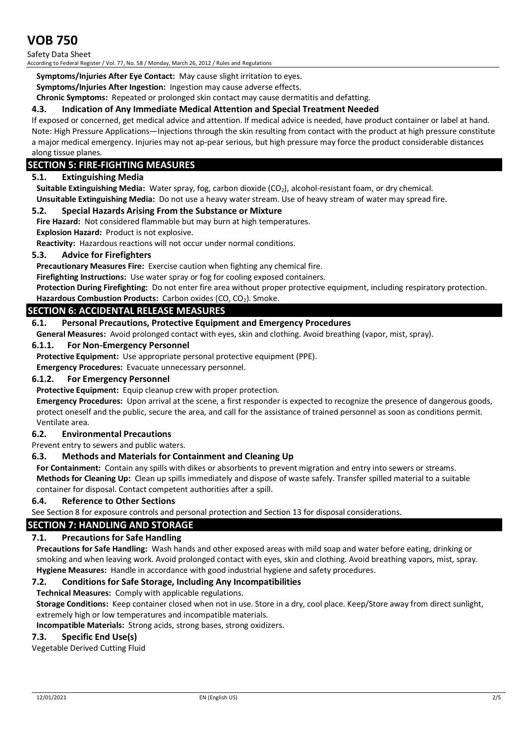Safety Data Sheet

According to Federal Register / Vol. 77, No. 58 / Monday, March 26, 2012 / Rules and Regulations

**Symptoms/Injuries After Eye Contact:** May cause slight irritation to eyes.

**Symptoms/Injuries After Ingestion:** Ingestion may cause adverse effects.

**Chronic Symptoms:** Repeated or prolonged skin contact may cause dermatitis and defatting.

# **4.3. Indication of Any Immediate Medical Attention and Special Treatment Needed**

If exposed or concerned, get medical advice and attention. If medical advice is needed, have product container or label at hand. Note: High Pressure Applications—Injections through the skin resulting from contact with the product at high pressure constitute a major medical emergency. Injuries may not ap-pear serious, but high pressure may force the product considerable distances along tissue planes.

# **SECTION 5: FIRE-FIGHTING MEASURES**

### **5.1. Extinguishing Media**

**Suitable Extinguishing Media:** Water spray, fog, carbon dioxide (CO2), alcohol-resistant foam, or dry chemical. **Unsuitable Extinguishing Media:** Do not use a heavy water stream. Use of heavy stream of water may spread fire.

### **5.2. Special Hazards Arising From the Substance or Mixture**

**Fire Hazard:** Not considered flammable but may burn at high temperatures.

**Explosion Hazard:** Product is not explosive.

**Reactivity:** Hazardous reactions will not occur under normal conditions.

### **5.3. Advice for Firefighters**

**Precautionary Measures Fire:** Exercise caution when fighting any chemical fire.

**Firefighting Instructions:** Use water spray or fog for cooling exposed containers.

**Protection During Firefighting:** Do not enter fire area without proper protective equipment, including respiratory protection. **Hazardous Combustion Products: Carbon oxides (CO, CO<sub>2</sub>). Smoke.** 

# **SECTION 6: ACCIDENTAL RELEASE MEASURES**

# **6.1. Personal Precautions, Protective Equipment and Emergency Procedures**

**General Measures:** Avoid prolonged contact with eyes, skin and clothing. Avoid breathing (vapor, mist, spray).

### **6.1.1. For Non-Emergency Personnel**

**Protective Equipment:** Use appropriate personal protective equipment (PPE).

**Emergency Procedures:** Evacuate unnecessary personnel.

### **6.1.2. For Emergency Personnel**

**Protective Equipment:** Equip cleanup crew with proper protection.

**Emergency Procedures:** Upon arrival at the scene, a first responder is expected to recognize the presence of dangerous goods, protect oneself and the public, secure the area, and call for the assistance of trained personnel as soon as conditions permit. Ventilate area.

### **6.2. Environmental Precautions**

Prevent entry to sewers and public waters.

# **6.3. Methods and Materials for Containment and Cleaning Up**

**For Containment:** Contain any spills with dikes or absorbents to prevent migration and entry into sewers or streams. **Methods for Cleaning Up:** Clean up spills immediately and dispose of waste safely. Transfer spilled material to a suitable container for disposal. Contact competent authorities after a spill.

# **6.4. Reference to Other Sections**

See Section 8 for exposure controls and personal protection and Section 13 for disposal considerations.

# **SECTION 7: HANDLING AND STORAGE**

# **7.1. Precautions for Safe Handling**

**Precautions for Safe Handling:** Wash hands and other exposed areas with mild soap and water before eating, drinking or smoking and when leaving work. Avoid prolonged contact with eyes, skin and clothing. Avoid breathing vapors, mist, spray. **Hygiene Measures:** Handle in accordance with good industrial hygiene and safety procedures.

# **7.2. Conditions for Safe Storage, Including Any Incompatibilities**

**Technical Measures:** Comply with applicable regulations.

**Storage Conditions:** Keep container closed when not in use. Store in a dry, cool place. Keep/Store away from direct sunlight, extremely high or low temperatures and incompatible materials.

**Incompatible Materials:** Strong acids, strong bases, strong oxidizers.

# **7.3. Specific End Use(s)**

Vegetable Derived Cutting Fluid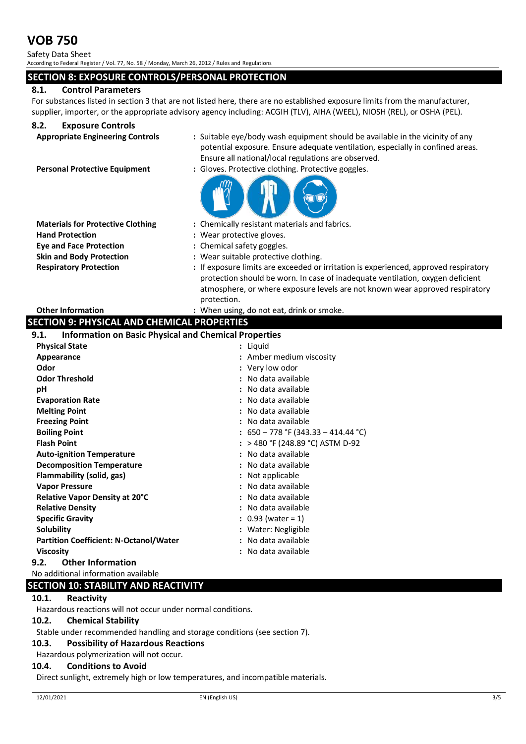Safety Data Sheet According to Federal Register / Vol. 77, No. 58 / Monday, March 26, 2012 / Rules and Regulations

# **SECTION 8: EXPOSURE CONTROLS/PERSONAL PROTECTION**

# **8.1. Control Parameters**

For substances listed in section 3 that are not listed here, there are no established exposure limits from the manufacturer, supplier, importer, or the appropriate advisory agency including: ACGIH (TLV), AIHA (WEEL), NIOSH (REL), or OSHA (PEL).

# **8.2. Exposure Controls**

- **Appropriate Engineering Controls :** Suitable eye/body wash equipment should be available in the vicinity of any potential exposure. Ensure adequate ventilation, especially in confined areas. Ensure all national/local regulations are observed.
- 
- **Personal Protective Equipment :** Gloves. Protective clothing. Protective goggles.



- **Hand Protection :** Wear protective gloves. **Eye and Face Protection :** Chemical safety goggles.
- **Materials for Protective Clothing :** Chemically resistant materials and fabrics.
	-
	-
- **Skin and Body Protection :** Wear suitable protective clothing.
- **Respiratory Protection :** If exposure limits are exceeded or irritation is experienced, approved respiratory protection should be worn. In case of inadequate ventilation, oxygen deficient atmosphere, or where exposure levels are not known wear approved respiratory protection.

**Other Information :** When using, do not eat, drink or smoke.

# **SECTION 9: PHYSICAL AND CHEMICAL PROPERTIES**

| <b>Information on Basic Physical and Chemical Properties</b><br>9.1. |                                       |  |  |
|----------------------------------------------------------------------|---------------------------------------|--|--|
| <b>Physical State</b>                                                | : Liquid                              |  |  |
| Appearance                                                           | : Amber medium viscosity              |  |  |
| Odor                                                                 | : Very low odor                       |  |  |
| <b>Odor Threshold</b>                                                | : No data available                   |  |  |
| рH                                                                   | : No data available                   |  |  |
| <b>Evaporation Rate</b>                                              | : No data available                   |  |  |
| <b>Melting Point</b>                                                 | : No data available                   |  |  |
| <b>Freezing Point</b>                                                | : No data available                   |  |  |
| <b>Boiling Point</b>                                                 | : $650 - 778$ °F (343.33 - 414.44 °C) |  |  |
| <b>Flash Point</b>                                                   | : > 480 °F (248.89 °C) ASTM D-92      |  |  |
| <b>Auto-ignition Temperature</b>                                     | : No data available                   |  |  |
| <b>Decomposition Temperature</b>                                     | : No data available                   |  |  |
| Flammability (solid, gas)                                            | : Not applicable                      |  |  |
| <b>Vapor Pressure</b>                                                | : No data available                   |  |  |
| Relative Vapor Density at 20°C                                       | No data available                     |  |  |
| <b>Relative Density</b>                                              | : No data available                   |  |  |
| <b>Specific Gravity</b>                                              | $: 0.93$ (water = 1)                  |  |  |
| Solubility                                                           | : Water: Negligible                   |  |  |
| <b>Partition Coefficient: N-Octanol/Water</b>                        | : No data available                   |  |  |
| <b>Viscosity</b>                                                     | : No data available                   |  |  |
| <b>Other Information</b><br>9.2.                                     |                                       |  |  |
|                                                                      |                                       |  |  |

# No additional information available

**SECTION 10: STABILITY AND REACTIVITY**

# **10.1. Reactivity**

Hazardous reactions will not occur under normal conditions.

# **10.2. Chemical Stability**

Stable under recommended handling and storage conditions (see section 7).

# **10.3. Possibility of Hazardous Reactions**

Hazardous polymerization will not occur.

# **10.4. Conditions to Avoid**

Direct sunlight, extremely high or low temperatures, and incompatible materials.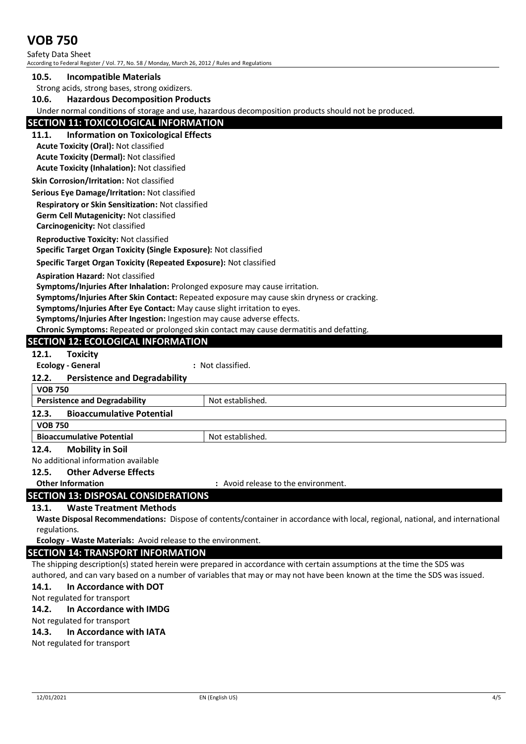Safety Data Sheet According to Federal Register / Vol. 77, No. 58 / Monday, March 26, 2012 / Rules and Regulations

| <b>Incompatible Materials</b><br>10.5. |
|----------------------------------------|
|----------------------------------------|

Strong acids, strong bases, strong oxidizers.

### **10.6. Hazardous Decomposition Products**

Under normal conditions of storage and use, hazardous decomposition products should not be produced.

# **SECTION 11: TOXICOLOGICAL INFORMATION**

#### **11.1. Information on Toxicological Effects**

**Acute Toxicity (Oral):** Not classified

**Acute Toxicity (Dermal):** Not classified **Acute Toxicity (Inhalation):** Not classified

**Skin Corrosion/Irritation:** Not classified

**Serious Eye Damage/Irritation:** Not classified

**Respiratory or Skin Sensitization:** Not classified **Germ Cell Mutagenicity:** Not classified

**Carcinogenicity:** Not classified

**Reproductive Toxicity:** Not classified

**Specific Target Organ Toxicity (Single Exposure):** Not classified

### **Specific Target Organ Toxicity (Repeated Exposure):** Not classified

**Aspiration Hazard:** Not classified

**Symptoms/Injuries After Inhalation:** Prolonged exposure may cause irritation.

**Symptoms/Injuries After Skin Contact:** Repeated exposure may cause skin dryness or cracking.

**Symptoms/Injuries After Eye Contact:** May cause slight irritation to eyes.

**Symptoms/Injuries After Ingestion:** Ingestion may cause adverse effects.

**Chronic Symptoms:** Repeated or prolonged skin contact may cause dermatitis and defatting.

### **SECTION 12: ECOLOGICAL INFORMATION**

**12.1. Toxicity**

**Ecology - General :** Not classified.

### **12.2. Persistence and Degradability**

# **VOB 750 Persistence and Degradability | Not established. 12.3. Bioaccumulative Potential VOB 750 Bioaccumulative Potential** Not established. **12.4. Mobility in Soil** No additional information available **12.5. Other Adverse Effects**

### **Other Information :** Avoid release to the environment.

**SECTION 13: DISPOSAL CONSIDERATIONS**

# **13.1. Waste Treatment Methods**

**Waste Disposal Recommendations:** Dispose of contents/container in accordance with local, regional, national, and international regulations.

**Ecology - Waste Materials:** Avoid release to the environment.

### **SECTION 14: TRANSPORT INFORMATION**

The shipping description(s) stated herein were prepared in accordance with certain assumptions at the time the SDS was authored, and can vary based on a number of variables that may or may not have been known at the time the SDS was issued.

# **14.1. In Accordance with DOT**

Not regulated for transport

### **14.2. In Accordance with IMDG**

Not regulated for transport

### **14.3. In Accordance with IATA**

Not regulated for transport